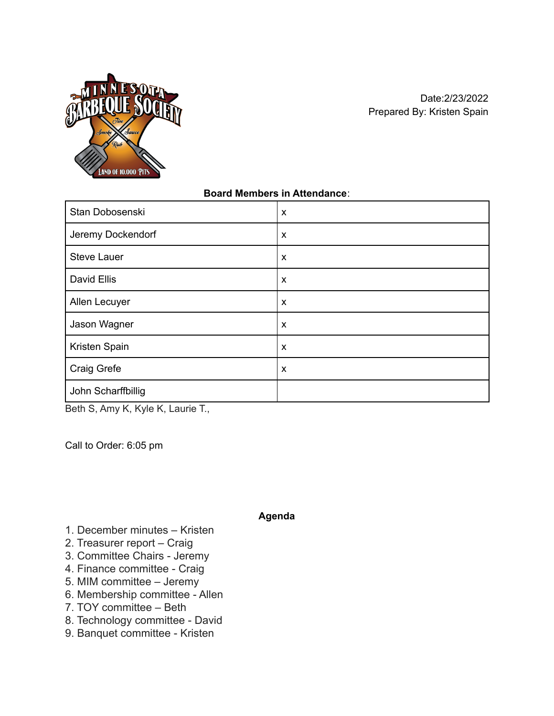

## **Board Members in Attendance**:

| Stan Dobosenski    | X                         |
|--------------------|---------------------------|
| Jeremy Dockendorf  | $\boldsymbol{\mathsf{x}}$ |
| <b>Steve Lauer</b> | X                         |
| David Ellis        | X                         |
| Allen Lecuyer      | X                         |
| Jason Wagner       | X                         |
| Kristen Spain      | X                         |
| Craig Grefe        | X                         |
| John Scharffbillig |                           |

Beth S, Amy K, Kyle K, Laurie T.,

Call to Order: 6:05 pm

#### **Agenda**

- 1. December minutes Kristen
- 2. Treasurer report Craig
- 3. Committee Chairs Jeremy
- 4. Finance committee Craig
- 5. MIM committee Jeremy
- 6. Membership committee Allen
- 7. TOY committee Beth
- 8. Technology committee David
- 9. Banquet committee Kristen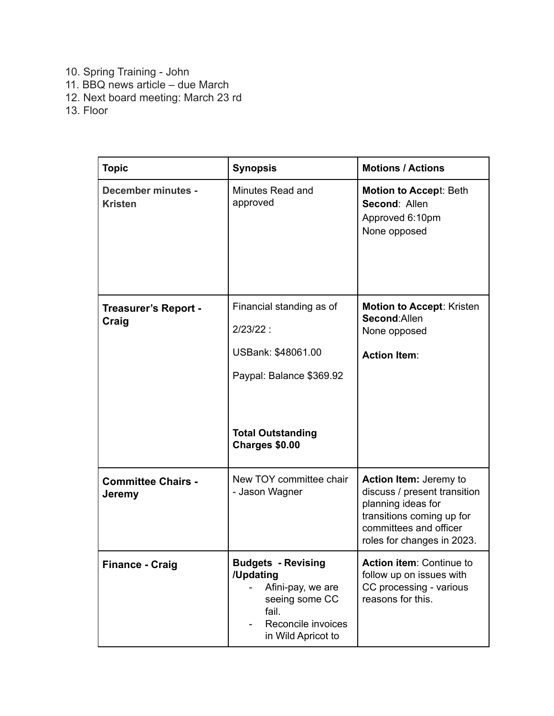- 10. Spring Training John
- 11. BBQ news article due March
- 12. Next board meeting: March 23 rd
- 13. Floor

| <b>Topic</b>                                | <b>Synopsis</b>                                                                                                                         | <b>Motions / Actions</b>                                                                                                                                          |
|---------------------------------------------|-----------------------------------------------------------------------------------------------------------------------------------------|-------------------------------------------------------------------------------------------------------------------------------------------------------------------|
| <b>December minutes -</b><br><b>Kristen</b> | Minutes Read and<br>approved                                                                                                            | <b>Motion to Accept: Beth</b><br>Second: Allen<br>Approved 6:10pm<br>None opposed                                                                                 |
| <b>Treasurer's Report -</b><br>Craig        | Financial standing as of<br>$2/23/22$ :<br>USBank: \$48061.00<br>Paypal: Balance \$369.92<br><b>Total Outstanding</b><br>Charges \$0.00 | <b>Motion to Accept: Kristen</b><br>Second: Allen<br>None opposed<br><b>Action Item:</b>                                                                          |
| <b>Committee Chairs -</b><br>Jeremy         | New TOY committee chair<br>- Jason Wagner                                                                                               | Action Item: Jeremy to<br>discuss / present transition<br>planning ideas for<br>transitions coming up for<br>committees and officer<br>roles for changes in 2023. |
| <b>Finance - Craig</b>                      | <b>Budgets - Revising</b><br>/Updating<br>Afini-pay, we are<br>seeing some CC<br>fail.<br>Reconcile invoices<br>in Wild Apricot to      | Action item: Continue to<br>follow up on issues with<br>CC processing - various<br>reasons for this.                                                              |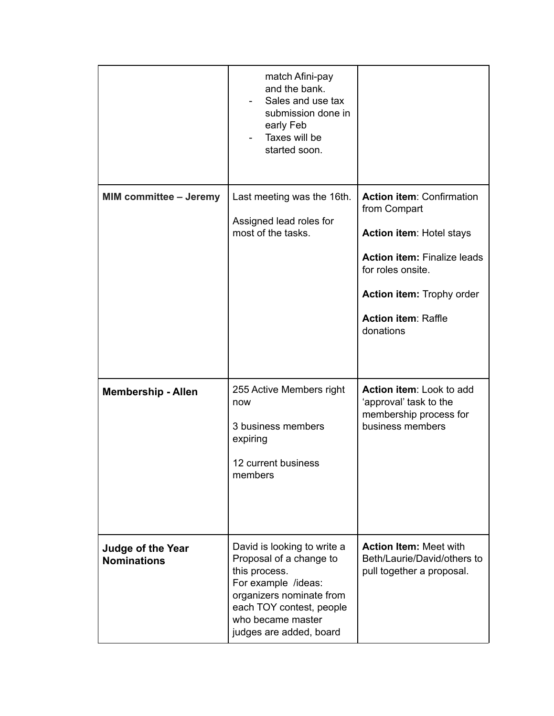|                                                | match Afini-pay<br>and the bank.<br>Sales and use tax<br>submission done in<br>early Feb<br>Taxes will be<br>started soon.                                                                             |                                                                                                                                                                                                                        |
|------------------------------------------------|--------------------------------------------------------------------------------------------------------------------------------------------------------------------------------------------------------|------------------------------------------------------------------------------------------------------------------------------------------------------------------------------------------------------------------------|
| <b>MIM committee - Jeremy</b>                  | Last meeting was the 16th.<br>Assigned lead roles for<br>most of the tasks.                                                                                                                            | <b>Action item: Confirmation</b><br>from Compart<br><b>Action item: Hotel stays</b><br><b>Action item: Finalize leads</b><br>for roles onsite.<br>Action item: Trophy order<br><b>Action item: Raffle</b><br>donations |
| <b>Membership - Allen</b>                      | 255 Active Members right<br>now<br>3 business members<br>expiring<br>12 current business<br>members                                                                                                    | Action item: Look to add<br>'approval' task to the<br>membership process for<br>business members                                                                                                                       |
| <b>Judge of the Year</b><br><b>Nominations</b> | David is looking to write a<br>Proposal of a change to<br>this process.<br>For example /ideas:<br>organizers nominate from<br>each TOY contest, people<br>who became master<br>judges are added, board | <b>Action Item: Meet with</b><br>Beth/Laurie/David/others to<br>pull together a proposal.                                                                                                                              |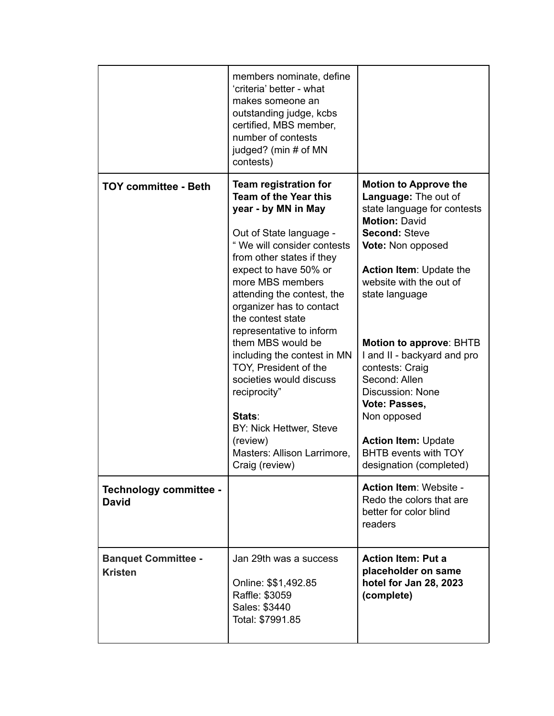|                                              | members nominate, define<br>'criteria' better - what<br>makes someone an<br>outstanding judge, kcbs<br>certified, MBS member,<br>number of contests<br>judged? (min # of MN<br>contests)                                                                                                                                                                                                                                                                                                                                                             |                                                                                                                                                                                                                                                                                                                                                                                                                                                                            |
|----------------------------------------------|------------------------------------------------------------------------------------------------------------------------------------------------------------------------------------------------------------------------------------------------------------------------------------------------------------------------------------------------------------------------------------------------------------------------------------------------------------------------------------------------------------------------------------------------------|----------------------------------------------------------------------------------------------------------------------------------------------------------------------------------------------------------------------------------------------------------------------------------------------------------------------------------------------------------------------------------------------------------------------------------------------------------------------------|
| <b>TOY committee - Beth</b>                  | Team registration for<br><b>Team of the Year this</b><br>year - by MN in May<br>Out of State language -<br>"We will consider contests<br>from other states if they<br>expect to have 50% or<br>more MBS members<br>attending the contest, the<br>organizer has to contact<br>the contest state<br>representative to inform<br>them MBS would be<br>including the contest in MN<br>TOY, President of the<br>societies would discuss<br>reciprocity"<br>Stats:<br>BY: Nick Hettwer, Steve<br>(review)<br>Masters: Allison Larrimore,<br>Craig (review) | <b>Motion to Approve the</b><br>Language: The out of<br>state language for contests<br><b>Motion: David</b><br><b>Second: Steve</b><br>Vote: Non opposed<br><b>Action Item: Update the</b><br>website with the out of<br>state language<br>Motion to approve: BHTB<br>I and II - backyard and pro<br>contests: Craig<br>Second: Allen<br>Discussion: None<br>Vote: Passes,<br>Non opposed<br><b>Action Item: Update</b><br>BHTB events with TOY<br>designation (completed) |
| Technology committee -<br><b>David</b>       |                                                                                                                                                                                                                                                                                                                                                                                                                                                                                                                                                      | <b>Action Item: Website -</b><br>Redo the colors that are<br>better for color blind<br>readers                                                                                                                                                                                                                                                                                                                                                                             |
| <b>Banquet Committee -</b><br><b>Kristen</b> | Jan 29th was a success<br>Online: \$\$1,492.85<br>Raffle: \$3059<br>Sales: \$3440<br>Total: \$7991.85                                                                                                                                                                                                                                                                                                                                                                                                                                                | <b>Action Item: Put a</b><br>placeholder on same<br>hotel for Jan 28, 2023<br>(complete)                                                                                                                                                                                                                                                                                                                                                                                   |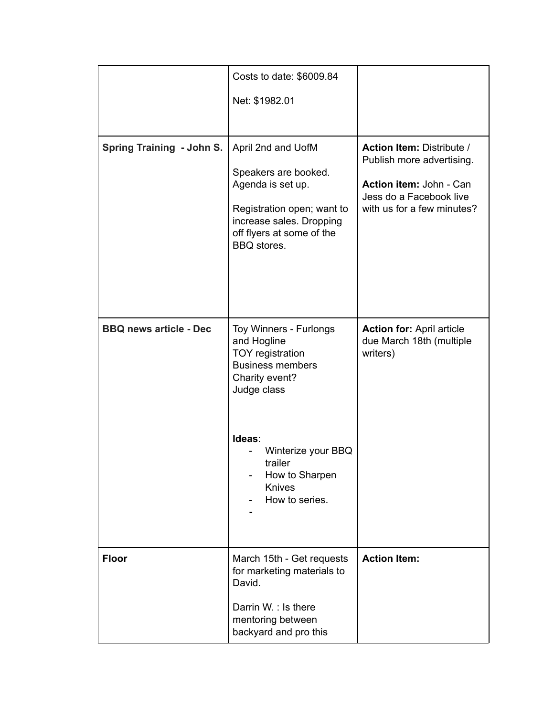|                               | Costs to date: \$6009.84                                                                                                                                              |                                                                                                                                                   |
|-------------------------------|-----------------------------------------------------------------------------------------------------------------------------------------------------------------------|---------------------------------------------------------------------------------------------------------------------------------------------------|
|                               | Net: \$1982.01                                                                                                                                                        |                                                                                                                                                   |
| Spring Training - John S.     | April 2nd and UofM<br>Speakers are booked.<br>Agenda is set up.<br>Registration open; want to<br>increase sales. Dropping<br>off flyers at some of the<br>BBQ stores. | <b>Action Item: Distribute /</b><br>Publish more advertising.<br>Action item: John - Can<br>Jess do a Facebook live<br>with us for a few minutes? |
| <b>BBQ news article - Dec</b> | Toy Winners - Furlongs<br>and Hogline<br>TOY registration<br><b>Business members</b><br>Charity event?<br>Judge class                                                 | <b>Action for: April article</b><br>due March 18th (multiple<br>writers)                                                                          |
|                               | Ideas:<br>Winterize your BBQ<br>trailer<br>How to Sharpen<br><b>Knives</b><br>How to series.                                                                          |                                                                                                                                                   |
| <b>Floor</b>                  | March 15th - Get requests<br>for marketing materials to<br>David.<br>Darrin W. : Is there<br>mentoring between<br>backyard and pro this                               | <b>Action Item:</b>                                                                                                                               |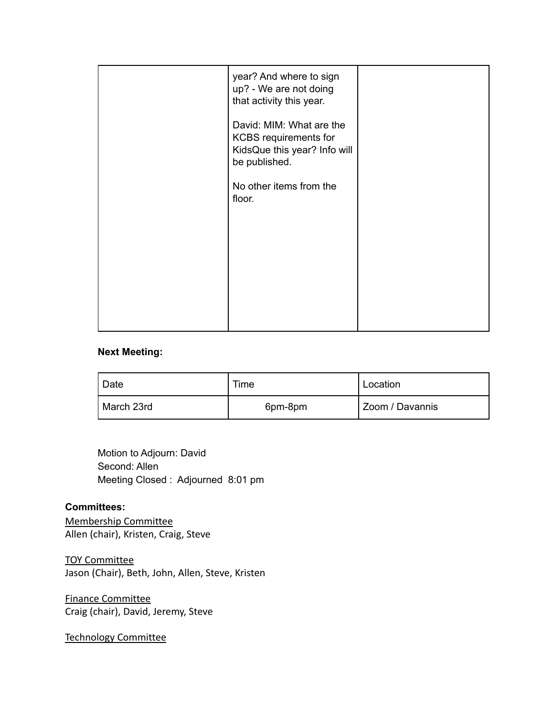| year? And where to sign<br>up? - We are not doing<br>that activity this year.                             |  |
|-----------------------------------------------------------------------------------------------------------|--|
| David: MIM: What are the<br><b>KCBS</b> requirements for<br>KidsQue this year? Info will<br>be published. |  |
| No other items from the<br>floor.                                                                         |  |
|                                                                                                           |  |
|                                                                                                           |  |
|                                                                                                           |  |

## **Next Meeting:**

| Date       | Time    | Location        |
|------------|---------|-----------------|
| March 23rd | 6pm-8pm | Zoom / Davannis |

Motion to Adjourn: David Second: Allen Meeting Closed : Adjourned 8:01 pm

#### **Committees:**

Membership Committee Allen (chair), Kristen, Craig, Steve

TOY Committee Jason (Chair), Beth, John, Allen, Steve, Kristen

Finance Committee Craig (chair), David, Jeremy, Steve

Technology Committee